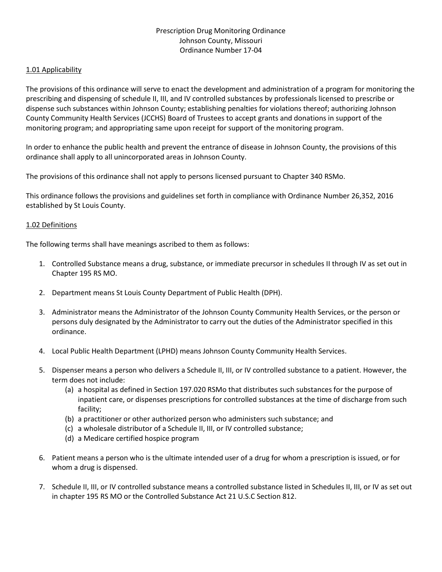# Prescription Drug Monitoring Ordinance Johnson County, Missouri Ordinance Number 17-04

### 1.01 Applicability

The provisions of this ordinance will serve to enact the development and administration of a program for monitoring the prescribing and dispensing of schedule II, III, and IV controlled substances by professionals licensed to prescribe or dispense such substances within Johnson County; establishing penalties for violations thereof; authorizing Johnson County Community Health Services (JCCHS) Board of Trustees to accept grants and donations in support of the monitoring program; and appropriating same upon receipt for support of the monitoring program.

In order to enhance the public health and prevent the entrance of disease in Johnson County, the provisions of this ordinance shall apply to all unincorporated areas in Johnson County.

The provisions of this ordinance shall not apply to persons licensed pursuant to Chapter 340 RSMo.

This ordinance follows the provisions and guidelines set forth in compliance with Ordinance Number 26,352, 2016 established by St Louis County.

### 1.02 Definitions

The following terms shall have meanings ascribed to them as follows:

- 1. Controlled Substance means a drug, substance, or immediate precursor in schedules II through IV as set out in Chapter 195 RS MO.
- 2. Department means St Louis County Department of Public Health (DPH).
- 3. Administrator means the Administrator of the Johnson County Community Health Services, or the person or persons duly designated by the Administrator to carry out the duties of the Administrator specified in this ordinance.
- 4. Local Public Health Department (LPHD) means Johnson County Community Health Services.
- 5. Dispenser means a person who delivers a Schedule II, III, or IV controlled substance to a patient. However, the term does not include:
	- (a) a hospital as defined in Section 197.020 RSMo that distributes such substances for the purpose of inpatient care, or dispenses prescriptions for controlled substances at the time of discharge from such facility;
	- (b) a practitioner or other authorized person who administers such substance; and
	- (c) a wholesale distributor of a Schedule II, III, or IV controlled substance;
	- (d) a Medicare certified hospice program
- 6. Patient means a person who is the ultimate intended user of a drug for whom a prescription is issued, or for whom a drug is dispensed.
- 7. Schedule II, III, or IV controlled substance means a controlled substance listed in Schedules II, III, or IV as set out in chapter 195 RS MO or the Controlled Substance Act 21 U.S.C Section 812.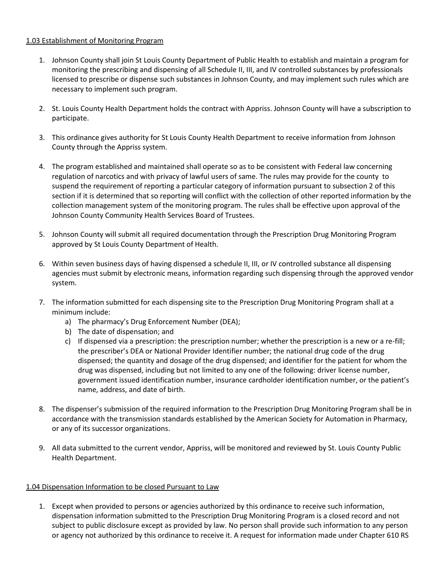## 1.03 Establishment of Monitoring Program

- 1. Johnson County shall join St Louis County Department of Public Health to establish and maintain a program for monitoring the prescribing and dispensing of all Schedule II, III, and IV controlled substances by professionals licensed to prescribe or dispense such substances in Johnson County, and may implement such rules which are necessary to implement such program.
- 2. St. Louis County Health Department holds the contract with Appriss. Johnson County will have a subscription to participate.
- 3. This ordinance gives authority for St Louis County Health Department to receive information from Johnson County through the Appriss system.
- 4. The program established and maintained shall operate so as to be consistent with Federal law concerning regulation of narcotics and with privacy of lawful users of same. The rules may provide for the county to suspend the requirement of reporting a particular category of information pursuant to subsection 2 of this section if it is determined that so reporting will conflict with the collection of other reported information by the collection management system of the monitoring program. The rules shall be effective upon approval of the Johnson County Community Health Services Board of Trustees.
- 5. Johnson County will submit all required documentation through the Prescription Drug Monitoring Program approved by St Louis County Department of Health.
- 6. Within seven business days of having dispensed a schedule II, III, or IV controlled substance all dispensing agencies must submit by electronic means, information regarding such dispensing through the approved vendor system.
- 7. The information submitted for each dispensing site to the Prescription Drug Monitoring Program shall at a minimum include:
	- a) The pharmacy's Drug Enforcement Number (DEA);
	- b) The date of dispensation; and
	- c) If dispensed via a prescription: the prescription number; whether the prescription is a new or a re-fill; the prescriber's DEA or National Provider Identifier number; the national drug code of the drug dispensed; the quantity and dosage of the drug dispensed; and identifier for the patient for whom the drug was dispensed, including but not limited to any one of the following: driver license number, government issued identification number, insurance cardholder identification number, or the patient's name, address, and date of birth.
- 8. The dispenser's submission of the required information to the Prescription Drug Monitoring Program shall be in accordance with the transmission standards established by the American Society for Automation in Pharmacy, or any of its successor organizations.
- 9. All data submitted to the current vendor, Appriss, will be monitored and reviewed by St. Louis County Public Health Department.

# 1.04 Dispensation Information to be closed Pursuant to Law

1. Except when provided to persons or agencies authorized by this ordinance to receive such information, dispensation information submitted to the Prescription Drug Monitoring Program is a closed record and not subject to public disclosure except as provided by law. No person shall provide such information to any person or agency not authorized by this ordinance to receive it. A request for information made under Chapter 610 RS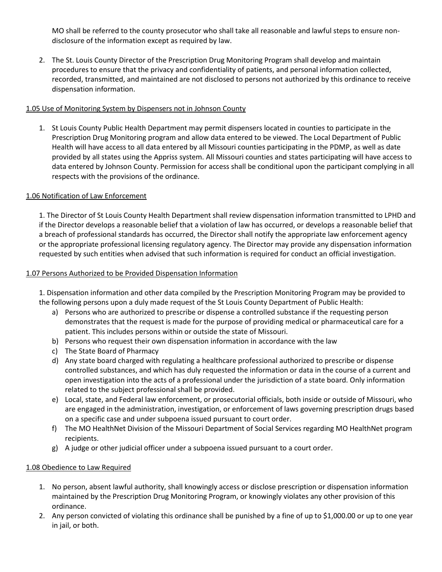MO shall be referred to the county prosecutor who shall take all reasonable and lawful steps to ensure nondisclosure of the information except as required by law.

2. The St. Louis County Director of the Prescription Drug Monitoring Program shall develop and maintain procedures to ensure that the privacy and confidentiality of patients, and personal information collected, recorded, transmitted, and maintained are not disclosed to persons not authorized by this ordinance to receive dispensation information.

# 1.05 Use of Monitoring System by Dispensers not in Johnson County

1. St Louis County Public Health Department may permit dispensers located in counties to participate in the Prescription Drug Monitoring program and allow data entered to be viewed. The Local Department of Public Health will have access to all data entered by all Missouri counties participating in the PDMP, as well as date provided by all states using the Appriss system. All Missouri counties and states participating will have access to data entered by Johnson County. Permission for access shall be conditional upon the participant complying in all respects with the provisions of the ordinance.

## 1.06 Notification of Law Enforcement

1. The Director of St Louis County Health Department shall review dispensation information transmitted to LPHD and if the Director develops a reasonable belief that a violation of law has occurred, or develops a reasonable belief that a breach of professional standards has occurred, the Director shall notify the appropriate law enforcement agency or the appropriate professional licensing regulatory agency. The Director may provide any dispensation information requested by such entities when advised that such information is required for conduct an official investigation.

## 1.07 Persons Authorized to be Provided Dispensation Information

1. Dispensation information and other data compiled by the Prescription Monitoring Program may be provided to the following persons upon a duly made request of the St Louis County Department of Public Health:

- a) Persons who are authorized to prescribe or dispense a controlled substance if the requesting person demonstrates that the request is made for the purpose of providing medical or pharmaceutical care for a patient. This includes persons within or outside the state of Missouri.
- b) Persons who request their own dispensation information in accordance with the law
- c) The State Board of Pharmacy
- d) Any state board charged with regulating a healthcare professional authorized to prescribe or dispense controlled substances, and which has duly requested the information or data in the course of a current and open investigation into the acts of a professional under the jurisdiction of a state board. Only information related to the subject professional shall be provided.
- e) Local, state, and Federal law enforcement, or prosecutorial officials, both inside or outside of Missouri, who are engaged in the administration, investigation, or enforcement of laws governing prescription drugs based on a specific case and under subpoena issued pursuant to court order.
- f) The MO HealthNet Division of the Missouri Department of Social Services regarding MO HealthNet program recipients.
- g) A judge or other judicial officer under a subpoena issued pursuant to a court order.

# 1.08 Obedience to Law Required

- 1. No person, absent lawful authority, shall knowingly access or disclose prescription or dispensation information maintained by the Prescription Drug Monitoring Program, or knowingly violates any other provision of this ordinance.
- 2. Any person convicted of violating this ordinance shall be punished by a fine of up to \$1,000.00 or up to one year in jail, or both.